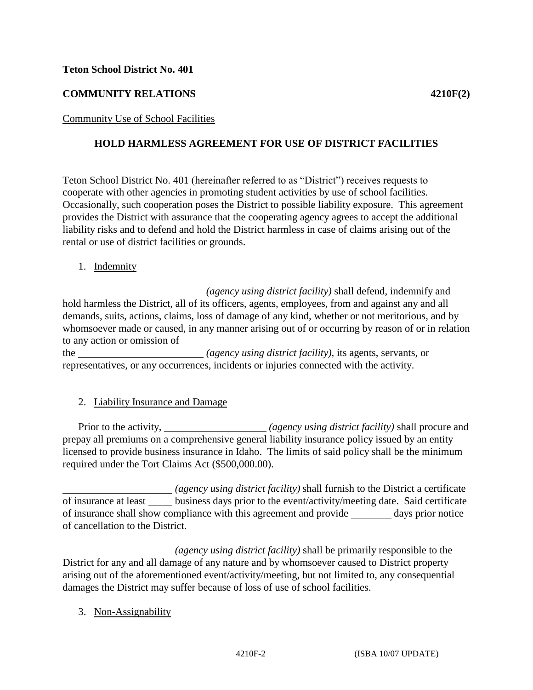#### **Teton School District No. 401**

# **COMMUNITY RELATIONS 4210F(2)**

## Community Use of School Facilities

## **HOLD HARMLESS AGREEMENT FOR USE OF DISTRICT FACILITIES**

Teton School District No. 401 (hereinafter referred to as "District") receives requests to cooperate with other agencies in promoting student activities by use of school facilities. Occasionally, such cooperation poses the District to possible liability exposure. This agreement provides the District with assurance that the cooperating agency agrees to accept the additional liability risks and to defend and hold the District harmless in case of claims arising out of the rental or use of district facilities or grounds.

1. Indemnity

 *(agency using district facility)* shall defend, indemnify and hold harmless the District, all of its officers, agents, employees, from and against any and all demands, suits, actions, claims, loss of damage of any kind, whether or not meritorious, and by whomsoever made or caused, in any manner arising out of or occurring by reason of or in relation to any action or omission of

the *(agency using district facility)*, its agents, servants, or representatives, or any occurrences, incidents or injuries connected with the activity.

2. Liability Insurance and Damage

Prior to the activity, \_\_\_\_\_\_\_\_\_\_\_\_\_\_\_\_\_\_\_\_\_*(agency using district facility)* shall procure and prepay all premiums on a comprehensive general liability insurance policy issued by an entity licensed to provide business insurance in Idaho. The limits of said policy shall be the minimum required under the Tort Claims Act (\$500,000.00).

 *(agency using district facility)* shall furnish to the District a certificate of insurance at least \_\_\_\_\_ business days prior to the event/activity/meeting date. Said certificate of insurance shall show compliance with this agreement and provide days prior notice of cancellation to the District.

 *(agency using district facility)* shall be primarily responsible to the District for any and all damage of any nature and by whomsoever caused to District property arising out of the aforementioned event/activity/meeting, but not limited to, any consequential damages the District may suffer because of loss of use of school facilities.

3. Non-Assignability